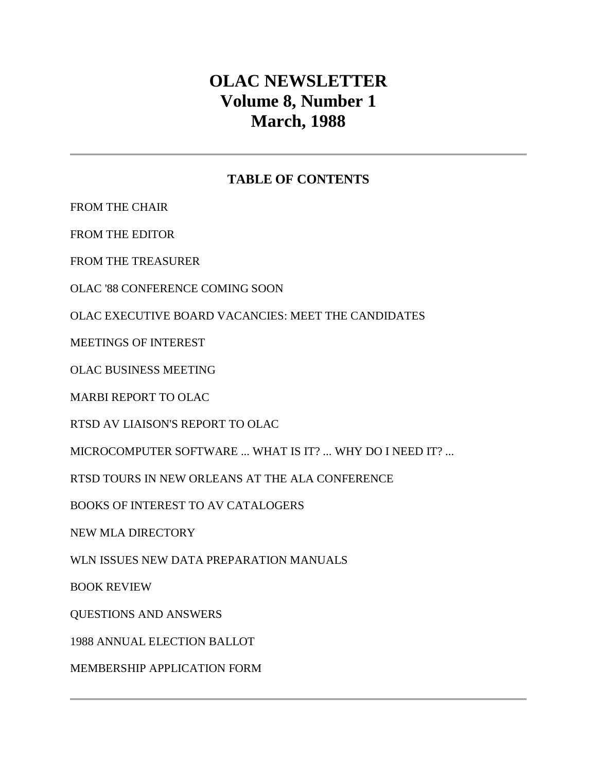# **OLAC NEWSLETTER Volume 8, Number 1 March, 1988**

# **TABLE OF CONTENTS**

[FROM THE CHAIR](http://ublib.buffalo.edu/libraries/units/cts/olac/newsletters/mar88.html#chair)

[FROM THE EDITOR](http://ublib.buffalo.edu/libraries/units/cts/olac/newsletters/mar88.html#editor)

[FROM THE TREASURER](http://ublib.buffalo.edu/libraries/units/cts/olac/newsletters/mar88.html#treasurer)

[OLAC '88 CONFERENCE COMING SOON](http://ublib.buffalo.edu/libraries/units/cts/olac/newsletters/mar88.html#conferences)

[OLAC EXECUTIVE BOARD VACANCIES: MEET THE CANDIDATES](http://ublib.buffalo.edu/libraries/units/cts/olac/newsletters/mar88.html#candidates)

[MEETINGS OF INTEREST](http://ublib.buffalo.edu/libraries/units/cts/olac/newsletters/mar88.html#meetings)

[OLAC BUSINESS MEETING](http://ublib.buffalo.edu/libraries/units/cts/olac/newsletters/mar88.html#business)

[MARBI REPORT TO OLAC](http://ublib.buffalo.edu/libraries/units/cts/olac/newsletters/mar88.html#marbi)

[RTSD AV LIAISON'S REPORT TO OLAC](http://ublib.buffalo.edu/libraries/units/cts/olac/newsletters/mar88.html#rtsd)

[MICROCOMPUTER SOFTWARE ... WHAT IS IT? ... WHY DO I NEED IT? ...](http://ublib.buffalo.edu/libraries/units/cts/olac/newsletters/mar88.html#micro)

[RTSD TOURS IN NEW ORLEANS AT THE ALA CONFERENCE](http://ublib.buffalo.edu/libraries/units/cts/olac/newsletters/mar88.html#tours)

[BOOKS OF INTEREST TO AV CATALOGERS](http://ublib.buffalo.edu/libraries/units/cts/olac/newsletters/mar88.html#books)

[NEW MLA DIRECTORY](http://ublib.buffalo.edu/libraries/units/cts/olac/newsletters/mar88.html#mla)

[WLN ISSUES NEW DATA PREPARATION MANUALS](http://ublib.buffalo.edu/libraries/units/cts/olac/newsletters/mar88.html#wln)

[BOOK REVIEW](http://ublib.buffalo.edu/libraries/units/cts/olac/newsletters/mar88.html#review)

[QUESTIONS AND ANSWERS](http://ublib.buffalo.edu/libraries/units/cts/olac/newsletters/mar88.html#q&a)

[1988 ANNUAL ELECTION BALLOT](http://ublib.buffalo.edu/libraries/units/cts/olac/newsletters/mar88.html#ballot)

[MEMBERSHIP APPLICATION FORM](http://ublib.buffalo.edu/libraries/units/cts/olac/newsletters/mar88.html#form)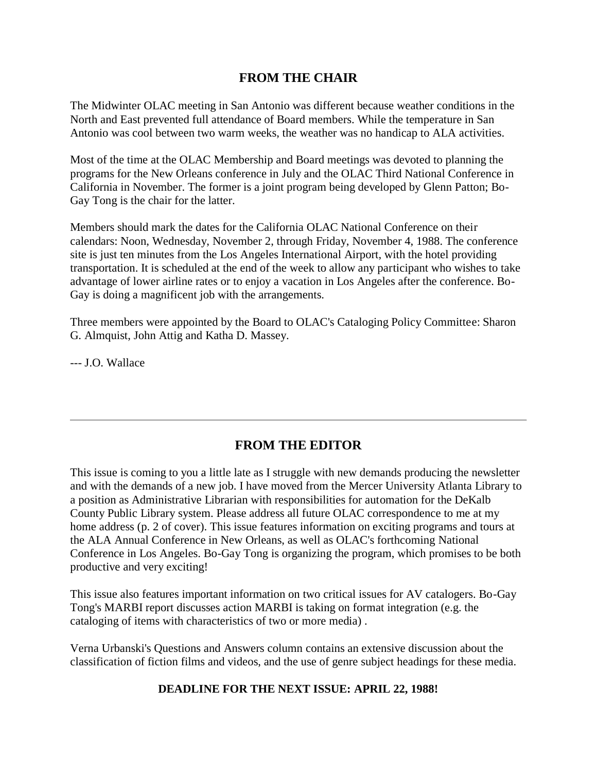### **FROM THE CHAIR**

The Midwinter OLAC meeting in San Antonio was different because weather conditions in the North and East prevented full attendance of Board members. While the temperature in San Antonio was cool between two warm weeks, the weather was no handicap to ALA activities.

Most of the time at the OLAC Membership and Board meetings was devoted to planning the programs for the New Orleans conference in July and the OLAC Third National Conference in California in November. The former is a joint program being developed by Glenn Patton; Bo-Gay Tong is the chair for the latter.

Members should mark the dates for the California OLAC National Conference on their calendars: Noon, Wednesday, November 2, through Friday, November 4, 1988. The conference site is just ten minutes from the Los Angeles International Airport, with the hotel providing transportation. It is scheduled at the end of the week to allow any participant who wishes to take advantage of lower airline rates or to enjoy a vacation in Los Angeles after the conference. Bo-Gay is doing a magnificent job with the arrangements.

Three members were appointed by the Board to OLAC's Cataloging Policy Committee: Sharon G. Almquist, John Attig and Katha D. Massey.

--- J.O. Wallace

# **FROM THE EDITOR**

This issue is coming to you a little late as I struggle with new demands producing the newsletter and with the demands of a new job. I have moved from the Mercer University Atlanta Library to a position as Administrative Librarian with responsibilities for automation for the DeKalb County Public Library system. Please address all future OLAC correspondence to me at my home address [\(p. 2 of cover\)](http://ublib.buffalo.edu/libraries/units/cts/olac/newsletters/mar88.html#masthead). This issue features information on exciting programs and tours at the ALA Annual Conference in New Orleans, as well as OLAC's forthcoming [National](http://ublib.buffalo.edu/libraries/units/cts/olac/newsletters/mar88.html#conferences)  [Conference](http://ublib.buffalo.edu/libraries/units/cts/olac/newsletters/mar88.html#conferences) in Los Angeles. Bo-Gay Tong is organizing the program, which promises to be both productive and very exciting!

This issue also features important information on two critical issues for AV catalogers. Bo-Gay Tong's [MARBI report](http://ublib.buffalo.edu/libraries/units/cts/olac/newsletters/mar88.html#marbi) discusses action MARBI is taking on format integration (e.g. the cataloging of items with characteristics of two or more media) .

Verna Urbanski's [Questions and Answers column](http://ublib.buffalo.edu/libraries/units/cts/olac/newsletters/mar88.html#q&a) contains an extensive discussion about the classification of fiction films and videos, and the use of genre subject headings for these media.

**DEADLINE FOR THE NEXT ISSUE: APRIL 22, 1988!**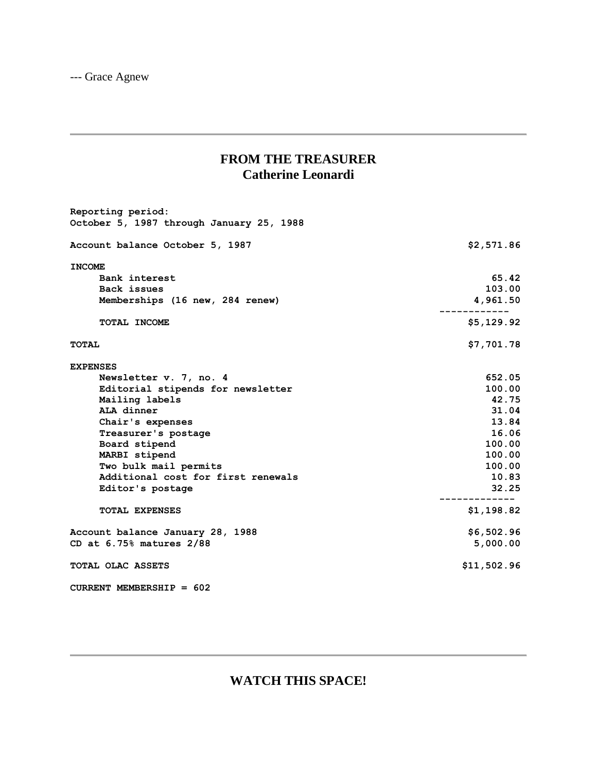--- Grace Agnew

# **FROM THE TREASURER Catherine Leonardi**

| Reporting period:<br>October 5, 1987 through January 25, 1988 |             |
|---------------------------------------------------------------|-------------|
| Account balance October 5, 1987                               | \$2,571.86  |
| <b>INCOME</b>                                                 |             |
| Bank interest                                                 | 65.42       |
| Back issues                                                   | 103.00      |
| Memberships (16 new, 284 renew)                               | 4,961.50    |
| TOTAL INCOME                                                  | \$5,129.92  |
| <b>TOTAL</b>                                                  | \$7,701.78  |
| <b>EXPENSES</b>                                               |             |
| Newsletter v. 7, no. 4                                        | 652.05      |
| Editorial stipends for newsletter                             | 100.00      |
| Mailing labels                                                | 42.75       |
| ALA dinner                                                    | 31.04       |
| Chair's expenses                                              | 13.84       |
| Treasurer's postage                                           | 16.06       |
| Board stipend                                                 | 100.00      |
| MARBI stipend                                                 | 100.00      |
| Two bulk mail permits                                         | 100.00      |
| Additional cost for first renewals                            | 10.83       |
| Editor's postage                                              | 32.25       |
| <b>TOTAL EXPENSES</b>                                         | \$1,198.82  |
| Account balance January 28, 1988                              | \$6,502.96  |
| CD at $6.75\%$ matures $2/88$                                 | 5,000.00    |
| <b>TOTAL OLAC ASSETS</b>                                      | \$11,502.96 |
| CURRENT MEMBERSHIP = $602$                                    |             |

# **WATCH THIS SPACE!**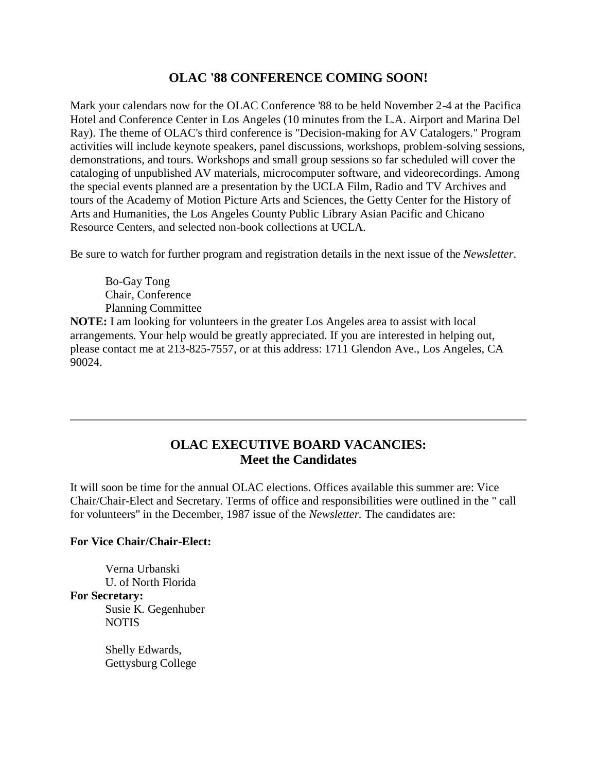### **OLAC '88 CONFERENCE COMING SOON!**

Mark your calendars now for the OLAC Conference '88 to be held November 2-4 at the Pacifica Hotel and Conference Center in Los Angeles (10 minutes from the L.A. Airport and Marina Del Ray). The theme of OLAC's third conference is "Decision-making for AV Catalogers." Program activities will include keynote speakers, panel discussions, workshops, problem-solving sessions, demonstrations, and tours. Workshops and small group sessions so far scheduled will cover the cataloging of unpublished AV materials, microcomputer software, and videorecordings. Among the special events planned are a presentation by the UCLA Film, Radio and TV Archives and tours of the Academy of Motion Picture Arts and Sciences, the Getty Center for the History of Arts and Humanities, the Los Angeles County Public Library Asian Pacific and Chicano Resource Centers, and selected non-book collections at UCLA.

Be sure to watch for further program and registration details in the [next issue](http://ublib.buffalo.edu/libraries/units/cts/olac/newsletters/june88.html) of the *Newsletter*.

Bo-Gay Tong Chair, Conference Planning Committee

**NOTE:** I am looking for volunteers in the greater Los Angeles area to assist with local arrangements. Your help would be greatly appreciated. If you are interested in helping out, please contact me at 213-825-7557, or at this address: 1711 Glendon Ave., Los Angeles, CA 90024.

# **OLAC EXECUTIVE BOARD VACANCIES: Meet the Candidates**

It will soon be time for the annual OLAC elections. Offices available this summer are: Vice Chair/Chair-Elect and Secretary. Terms of office and responsibilities were outlined in the " [call](http://ublib.buffalo.edu/libraries/units/cts/olac/newsletters/dec87.html#elections)  [for volunteers"](http://ublib.buffalo.edu/libraries/units/cts/olac/newsletters/dec87.html#elections) in the December, 1987 issue of the *Newsletter.* The candidates are:

#### **For Vice Chair/Chair-Elect:**

Verna Urbanski U. of North Florida **For Secretary:** Susie K. Gegenhuber NOTIS

> Shelly Edwards, Gettysburg College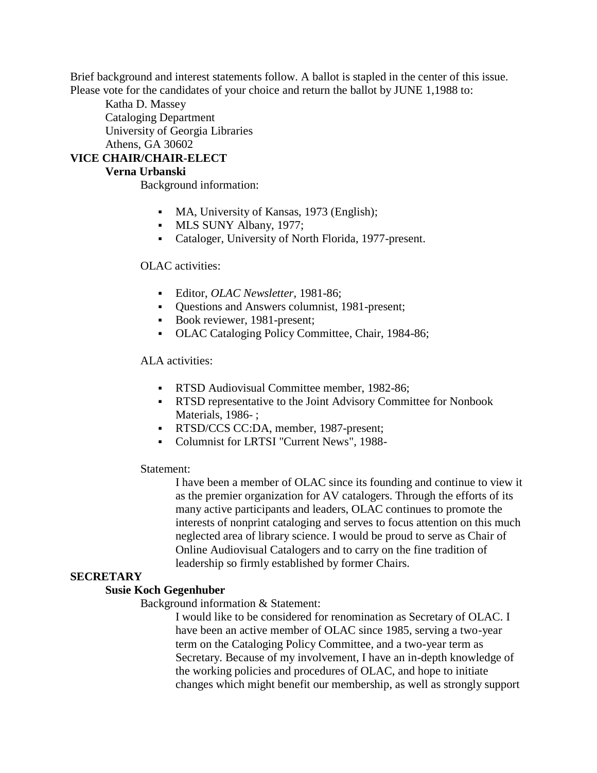Brief background and interest statements follow. A [ballot](http://ublib.buffalo.edu/libraries/units/cts/olac/newsletters/mar88.html#ballot) is stapled in the center of this issue. Please vote for the candidates of your choice and return the ballot by JUNE 1,1988 to:

Katha D. Massey Cataloging Department University of Georgia Libraries Athens, GA 30602

### **VICE CHAIR/CHAIR-ELECT**

#### **Verna Urbanski**

Background information:

- MA, University of Kansas, 1973 (English);
- **MLS SUNY Albany, 1977;**
- Cataloger, University of North Florida, 1977-present.

#### OLAC activities:

- Editor, *OLAC Newsletter*, 1981-86;
- Questions and Answers columnist, 1981-present;
- Book reviewer, 1981-present;
- OLAC Cataloging Policy Committee, Chair, 1984-86;

#### ALA activities:

- **RTSD Audiovisual Committee member, 1982-86:**
- RTSD representative to the Joint Advisory Committee for Nonbook Materials, 1986-:
- RTSD/CCS CC:DA, member, 1987-present;
- Columnist for LRTSI "Current News", 1988-

#### Statement:

I have been a member of OLAC since its founding and continue to view it as the premier organization for AV catalogers. Through the efforts of its many active participants and leaders, OLAC continues to promote the interests of nonprint cataloging and serves to focus attention on this much neglected area of library science. I would be proud to serve as Chair of Online Audiovisual Catalogers and to carry on the fine tradition of leadership so firmly established by former Chairs.

#### **SECRETARY**

#### **Susie Koch Gegenhuber**

Background information & Statement:

I would like to be considered for renomination as Secretary of OLAC. I have been an active member of OLAC since 1985, serving a two-year term on the Cataloging Policy Committee, and a two-year term as Secretary. Because of my involvement, I have an in-depth knowledge of the working policies and procedures of OLAC, and hope to initiate changes which might benefit our membership, as well as strongly support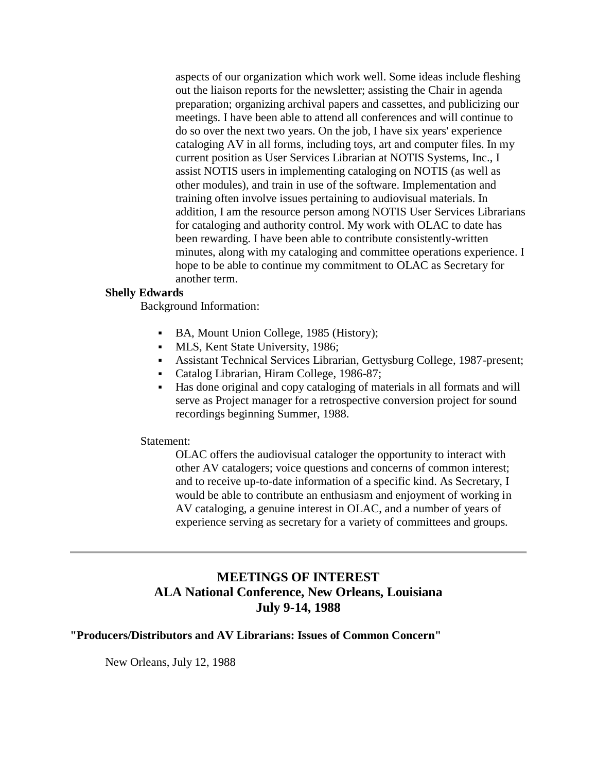aspects of our organization which work well. Some ideas include fleshing out the liaison reports for the newsletter; assisting the Chair in agenda preparation; organizing archival papers and cassettes, and publicizing our meetings. I have been able to attend all conferences and will continue to do so over the next two years. On the job, I have six years' experience cataloging AV in all forms, including toys, art and computer files. In my current position as User Services Librarian at NOTIS Systems, Inc., I assist NOTIS users in implementing cataloging on NOTIS (as well as other modules), and train in use of the software. Implementation and training often involve issues pertaining to audiovisual materials. In addition, I am the resource person among NOTIS User Services Librarians for cataloging and authority control. My work with OLAC to date has been rewarding. I have been able to contribute consistently-written minutes, along with my cataloging and committee operations experience. I hope to be able to continue my commitment to OLAC as Secretary for another term.

#### **Shelly Edwards**

Background Information:

- BA, Mount Union College, 1985 (History);
- **MLS, Kent State University, 1986;**
- Assistant Technical Services Librarian, Gettysburg College, 1987-present;
- Catalog Librarian, Hiram College, 1986-87;
- Has done original and copy cataloging of materials in all formats and will serve as Project manager for a retrospective conversion project for sound recordings beginning Summer, 1988.

#### Statement:

OLAC offers the audiovisual cataloger the opportunity to interact with other AV catalogers; voice questions and concerns of common interest; and to receive up-to-date information of a specific kind. As Secretary, I would be able to contribute an enthusiasm and enjoyment of working in AV cataloging, a genuine interest in OLAC, and a number of years of experience serving as secretary for a variety of committees and groups.

### **MEETINGS OF INTEREST ALA National Conference, New Orleans, Louisiana July 9-14, 1988**

#### **"Producers/Distributors and AV Librarians: Issues of Common Concern"**

New Orleans, July 12, 1988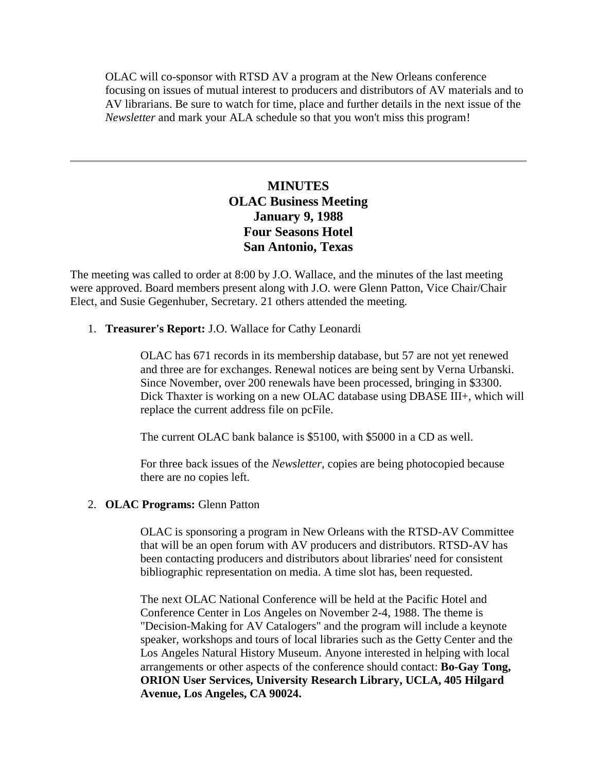OLAC will co-sponsor with RTSD AV a program at the New Orleans conference focusing on issues of mutual interest to producers and distributors of AV materials and to AV librarians. Be sure to watch for time, place and further details in the next issue of the *Newsletter* and mark your ALA schedule so that you won't miss this program!

### **MINUTES OLAC Business Meeting January 9, 1988 Four Seasons Hotel San Antonio, Texas**

The meeting was called to order at 8:00 by J.O. Wallace, and the [minutes of the last meeting](http://ublib.buffalo.edu/libraries/units/cts/olac/newsletters/sept87.html#reports) were approved. Board members present along with J.O. were Glenn Patton, Vice Chair/Chair Elect, and Susie Gegenhuber, Secretary. 21 others attended the meeting.

1. **Treasurer's Report:** J.O. Wallace for Cathy Leonardi

OLAC has 671 records in its membership database, but 57 are not yet renewed and three are for exchanges. Renewal notices are being sent by Verna Urbanski. Since November, over 200 renewals have been processed, bringing in \$3300. Dick Thaxter is working on a new OLAC database using DBASE III+, which will replace the current address file on pcFile.

The current OLAC bank balance is \$5100, with \$5000 in a CD as well.

For three back issues of the *Newsletter*, copies are being photocopied because there are no copies left.

#### 2. **OLAC Programs:** Glenn Patton

OLAC is sponsoring a program in New Orleans with the RTSD-AV Committee that will be an open forum with AV producers and distributors. RTSD-AV has been contacting producers and distributors about libraries' need for consistent bibliographic representation on media. A time slot has, been requested.

The next OLAC National Conference will be held at the Pacific Hotel and Conference Center in Los Angeles on November 2-4, 1988. The theme is "Decision-Making for AV Catalogers" and the program will include a keynote speaker, workshops and tours of local libraries such as the Getty Center and the Los Angeles Natural History Museum. Anyone interested in helping with local arrangements or other aspects of the conference should contact: **Bo-Gay Tong, ORION User Services, University Research Library, UCLA, 405 Hilgard Avenue, Los Angeles, CA 90024.**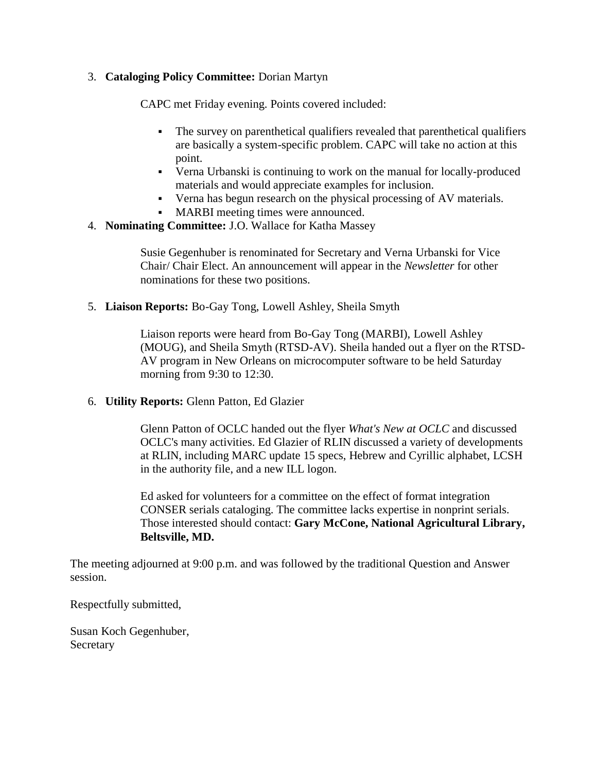#### 3. **Cataloging Policy Committee:** Dorian Martyn

CAPC met Friday evening. Points covered included:

- The survey on parenthetical qualifiers revealed that parenthetical qualifiers are basically a system-specific problem. CAPC will take no action at this point.
- Verna Urbanski is continuing to work on the manual for locally-produced materials and would appreciate examples for inclusion.
- Verna has begun research on the physical processing of AV materials.
- MARBI meeting times were announced.
- 4. **Nominating Committee:** J.O. Wallace for Katha Massey

Susie Gegenhuber is renominated for Secretary and Verna Urbanski for Vice Chair/ Chair Elect. An announcement will appear in the *Newsletter* for other nominations for these two positions.

5. **Liaison Reports:** Bo-Gay Tong, Lowell Ashley, Sheila Smyth

Liaison reports were heard from Bo-Gay Tong (MARBI), Lowell Ashley (MOUG), and Sheila Smyth (RTSD-AV). Sheila handed out a flyer on the RTSD-AV program in New Orleans on microcomputer software to be held Saturday morning from 9:30 to 12:30.

6. **Utility Reports:** Glenn Patton, Ed Glazier

Glenn Patton of OCLC handed out the flyer *What's New at OCLC* and discussed OCLC's many activities. Ed Glazier of RLIN discussed a variety of developments at RLIN, including MARC update 15 specs, Hebrew and Cyrillic alphabet, LCSH in the authority file, and a new ILL logon.

Ed asked for volunteers for a committee on the effect of format integration CONSER serials cataloging. The committee lacks expertise in nonprint serials. Those interested should contact: **Gary McCone, National Agricultural Library, Beltsville, MD.**

The meeting adjourned at 9:00 p.m. and was followed by the traditional Question and Answer session.

Respectfully submitted,

Susan Koch Gegenhuber, **Secretary**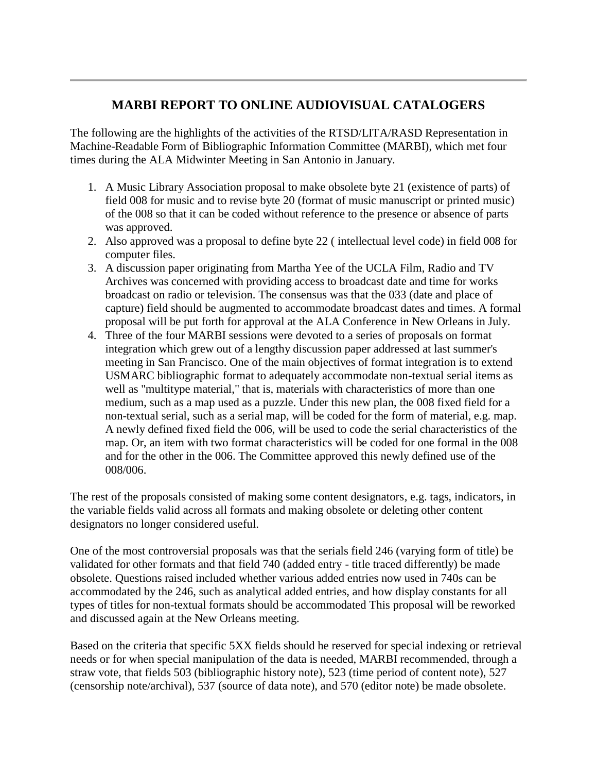# **MARBI REPORT TO ONLINE AUDIOVISUAL CATALOGERS**

The following are the highlights of the activities of the RTSD/LITA/RASD Representation in Machine-Readable Form of Bibliographic Information Committee (MARBI), which met four times during the ALA Midwinter Meeting in San Antonio in January.

- 1. A Music Library Association proposal to make obsolete byte 21 (existence of parts) of field 008 for music and to revise byte 20 (format of music manuscript or printed music) of the 008 so that it can be coded without reference to the presence or absence of parts was approved.
- 2. Also approved was a proposal to define byte 22 ( intellectual level code) in field 008 for computer files.
- 3. A discussion paper originating from Martha Yee of the UCLA Film, Radio and TV Archives was concerned with providing access to broadcast date and time for works broadcast on radio or television. The consensus was that the 033 (date and place of capture) field should be augmented to accommodate broadcast dates and times. A formal proposal will be put forth for approval at the ALA Conference in New Orleans in July.
- 4. Three of the four MARBI sessions were devoted to a series of proposals on format integration which grew out of a lengthy discussion paper addressed at last summer's meeting in San Francisco. One of the main objectives of format integration is to extend USMARC bibliographic format to adequately accommodate non-textual serial items as well as "multitype material," that is, materials with characteristics of more than one medium, such as a map used as a puzzle. Under this new plan, the 008 fixed field for a non-textual serial, such as a serial map, will be coded for the form of material, e.g. map. A newly defined fixed field the 006, will be used to code the serial characteristics of the map. Or, an item with two format characteristics will be coded for one formal in the 008 and for the other in the 006. The Committee approved this newly defined use of the 008/006.

The rest of the proposals consisted of making some content designators, e.g. tags, indicators, in the variable fields valid across all formats and making obsolete or deleting other content designators no longer considered useful.

One of the most controversial proposals was that the serials field 246 (varying form of title) be validated for other formats and that field 740 (added entry - title traced differently) be made obsolete. Questions raised included whether various added entries now used in 740s can be accommodated by the 246, such as analytical added entries, and how display constants for all types of titles for non-textual formats should be accommodated This proposal will be reworked and discussed again at the New Orleans meeting.

Based on the criteria that specific 5XX fields should he reserved for special indexing or retrieval needs or for when special manipulation of the data is needed, MARBI recommended, through a straw vote, that fields 503 (bibliographic history note), 523 (time period of content note), 527 (censorship note/archival), 537 (source of data note), and 570 (editor note) be made obsolete.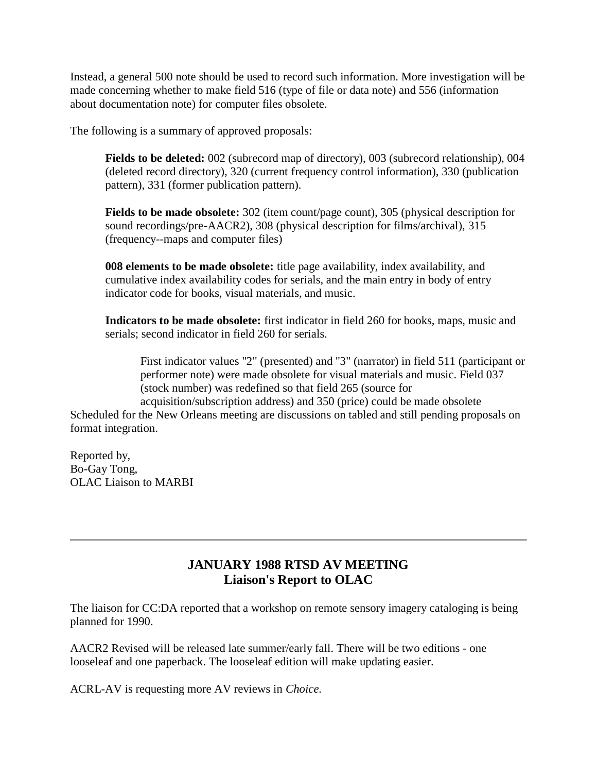Instead, a general 500 note should be used to record such information. More investigation will be made concerning whether to make field 516 (type of file or data note) and 556 (information about documentation note) for computer files obsolete.

The following is a summary of approved proposals:

**Fields to be deleted:** 002 (subrecord map of directory), 003 (subrecord relationship), 004 (deleted record directory), 320 (current frequency control information), 330 (publication pattern), 331 (former publication pattern).

**Fields to be made obsolete:** 302 (item count/page count), 305 (physical description for sound recordings/pre-AACR2), 308 (physical description for films/archival), 315 (frequency--maps and computer files)

**008 elements to be made obsolete:** title page availability, index availability, and cumulative index availability codes for serials, and the main entry in body of entry indicator code for books, visual materials, and music.

**Indicators to be made obsolete:** first indicator in field 260 for books, maps, music and serials; second indicator in field 260 for serials.

First indicator values "2" (presented) and "3" (narrator) in field 511 (participant or performer note) were made obsolete for visual materials and music. Field 037 (stock number) was redefined so that field 265 (source for

acquisition/subscription address) and 350 (price) could be made obsolete Scheduled for the New Orleans meeting are discussions on tabled and still pending proposals on format integration.

Reported by, Bo-Gay Tong, OLAC Liaison to MARBI

# **JANUARY 1988 RTSD AV MEETING Liaison's Report to OLAC**

The liaison for CC:DA reported that a workshop on remote sensory imagery cataloging is being planned for 1990.

AACR2 Revised will be released late summer/early fall. There will be two editions - one looseleaf and one paperback. The looseleaf edition will make updating easier.

ACRL-AV is requesting more AV reviews in *Choice.*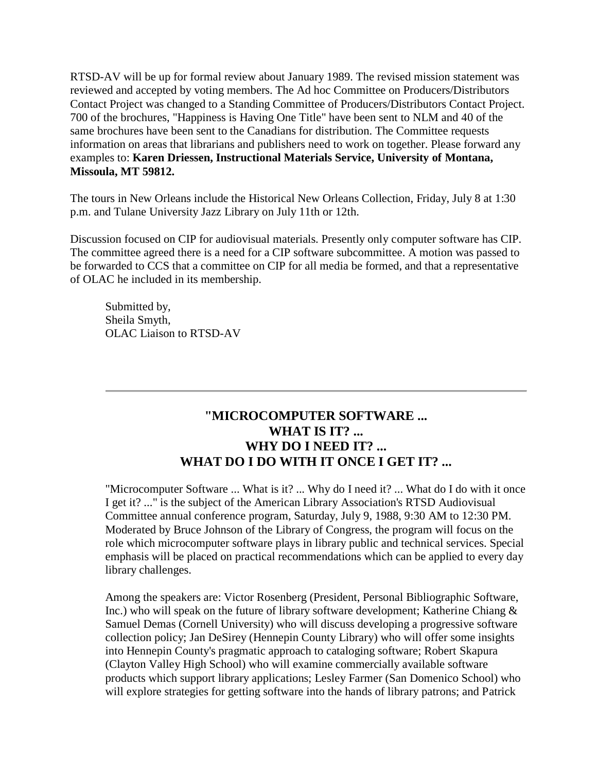RTSD-AV will be up for formal review about January 1989. The revised mission statement was reviewed and accepted by voting members. The Ad hoc Committee on Producers/Distributors Contact Project was changed to a Standing Committee of Producers/Distributors Contact Project. 700 of the brochures, "Happiness is Having One Title" have been sent to NLM and 40 of the same brochures have been sent to the Canadians for distribution. The Committee requests information on areas that librarians and publishers need to work on together. Please forward any examples to: **Karen Driessen, Instructional Materials Service, University of Montana, Missoula, MT 59812.**

The tours in New Orleans include the Historical New Orleans Collection, Friday, July 8 at 1:30 p.m. and Tulane University Jazz Library on July 11th or 12th.

Discussion focused on CIP for audiovisual materials. Presently only computer software has CIP. The committee agreed there is a need for a CIP software subcommittee. A motion was passed to be forwarded to CCS that a committee on CIP for all media be formed, and that a representative of OLAC he included in its membership.

Submitted by, Sheila Smyth, OLAC Liaison to RTSD-AV

### **"MICROCOMPUTER SOFTWARE ... WHAT IS IT? ... WHY DO I NEED IT? ... WHAT DO I DO WITH IT ONCE I GET IT? ...**

"Microcomputer Software ... What is it? ... Why do I need it? ... What do I do with it once I get it? ..." is the subject of the American Library Association's RTSD Audiovisual Committee annual conference program, Saturday, July 9, 1988, 9:30 AM to 12:30 PM. Moderated by Bruce Johnson of the Library of Congress, the program will focus on the role which microcomputer software plays in library public and technical services. Special emphasis will be placed on practical recommendations which can be applied to every day library challenges.

Among the speakers are: Victor Rosenberg (President, Personal Bibliographic Software, Inc.) who will speak on the future of library software development; Katherine Chiang  $\&$ Samuel Demas (Cornell University) who will discuss developing a progressive software collection policy; Jan DeSirey (Hennepin County Library) who will offer some insights into Hennepin County's pragmatic approach to cataloging software; Robert Skapura (Clayton Valley High School) who will examine commercially available software products which support library applications; Lesley Farmer (San Domenico School) who will explore strategies for getting software into the hands of library patrons; and Patrick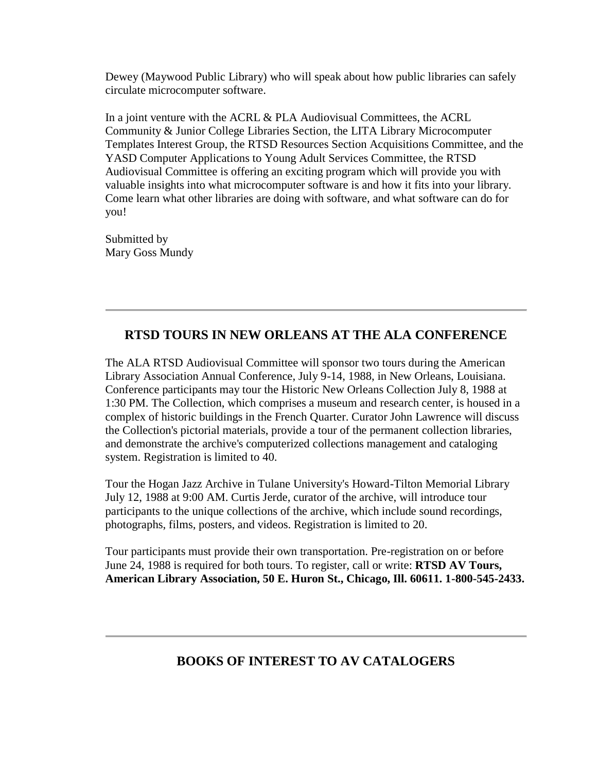Dewey (Maywood Public Library) who will speak about how public libraries can safely circulate microcomputer software.

In a joint venture with the ACRL & PLA Audiovisual Committees, the ACRL Community & Junior College Libraries Section, the LITA Library Microcomputer Templates Interest Group, the RTSD Resources Section Acquisitions Committee, and the YASD Computer Applications to Young Adult Services Committee, the RTSD Audiovisual Committee is offering an exciting program which will provide you with valuable insights into what microcomputer software is and how it fits into your library. Come learn what other libraries are doing with software, and what software can do for you!

Submitted by Mary Goss Mundy

# **RTSD TOURS IN NEW ORLEANS AT THE ALA CONFERENCE**

The ALA RTSD Audiovisual Committee will sponsor two tours during the American Library Association Annual Conference, July 9-14, 1988, in New Orleans, Louisiana. Conference participants may tour the Historic New Orleans Collection July 8, 1988 at 1:30 PM. The Collection, which comprises a museum and research center, is housed in a complex of historic buildings in the French Quarter. Curator John Lawrence will discuss the Collection's pictorial materials, provide a tour of the permanent collection libraries, and demonstrate the archive's computerized collections management and cataloging system. Registration is limited to 40.

Tour the Hogan Jazz Archive in Tulane University's Howard-Tilton Memorial Library July 12, 1988 at 9:00 AM. Curtis Jerde, curator of the archive, will introduce tour participants to the unique collections of the archive, which include sound recordings, photographs, films, posters, and videos. Registration is limited to 20.

Tour participants must provide their own transportation. Pre-registration on or before June 24, 1988 is required for both tours. To register, call or write: **RTSD AV Tours, American Library Association, 50 E. Huron St., Chicago, Ill. 60611. 1-800-545-2433.**

# **BOOKS OF INTEREST TO AV CATALOGERS**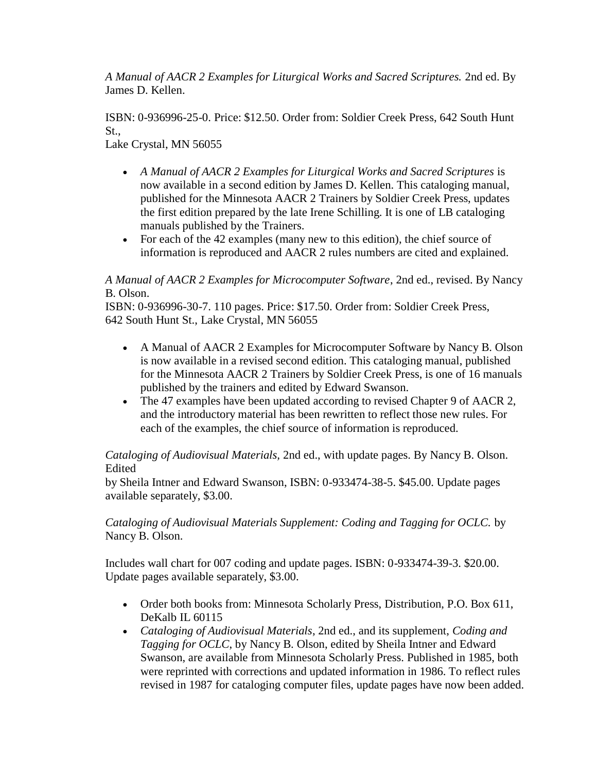*A Manual of AACR 2 Examples for Liturgical Works and Sacred Scriptures.* 2nd ed. By James D. Kellen.

ISBN: 0-936996-25-0. Price: \$12.50. Order from: Soldier Creek Press, 642 South Hunt St.,

Lake Crystal, MN 56055

- *A Manual of AACR 2 Examples for Liturgical Works and Sacred Scriptures* is now available in a second edition by James D. Kellen. This cataloging manual, published for the Minnesota AACR 2 Trainers by Soldier Creek Press, updates the first edition prepared by the late Irene Schilling. It is one of LB cataloging manuals published by the Trainers.
- For each of the 42 examples (many new to this edition), the chief source of information is reproduced and AACR 2 rules numbers are cited and explained.

### *A Manual of AACR 2 Examples for Microcomputer Software*, 2nd ed., revised. By Nancy B. Olson.

ISBN: 0-936996-30-7. 110 pages. Price: \$17.50. Order from: Soldier Creek Press, 642 South Hunt St., Lake Crystal, MN 56055

- A Manual of AACR 2 Examples for Microcomputer Software by Nancy B. Olson is now available in a revised second edition. This cataloging manual, published for the Minnesota AACR 2 Trainers by Soldier Creek Press, is one of 16 manuals published by the trainers and edited by Edward Swanson.
- The 47 examples have been updated according to revised Chapter 9 of AACR 2, and the introductory material has been rewritten to reflect those new rules. For each of the examples, the chief source of information is reproduced.

*Cataloging of Audiovisual Materials,* 2nd ed., with update pages. By Nancy B. Olson. Edited

by Sheila Intner and Edward Swanson, ISBN: 0-933474-38-5. \$45.00. Update pages available separately, \$3.00.

*Cataloging of Audiovisual Materials Supplement: Coding and Tagging for OCLC.* by Nancy B. Olson.

Includes wall chart for 007 coding and update pages. ISBN: 0-933474-39-3. \$20.00. Update pages available separately, \$3.00.

- Order both books from: Minnesota Scholarly Press, Distribution, P.O. Box 611, DeKalb IL 60115
- *Cataloging of Audiovisual Materials*, 2nd ed., and its supplement, *Coding and Tagging for OCLC*, by Nancy B. Olson, edited by Sheila Intner and Edward Swanson, are available from Minnesota Scholarly Press. Published in 1985, both were reprinted with corrections and updated information in 1986. To reflect rules revised in 1987 for cataloging computer files, update pages have now been added.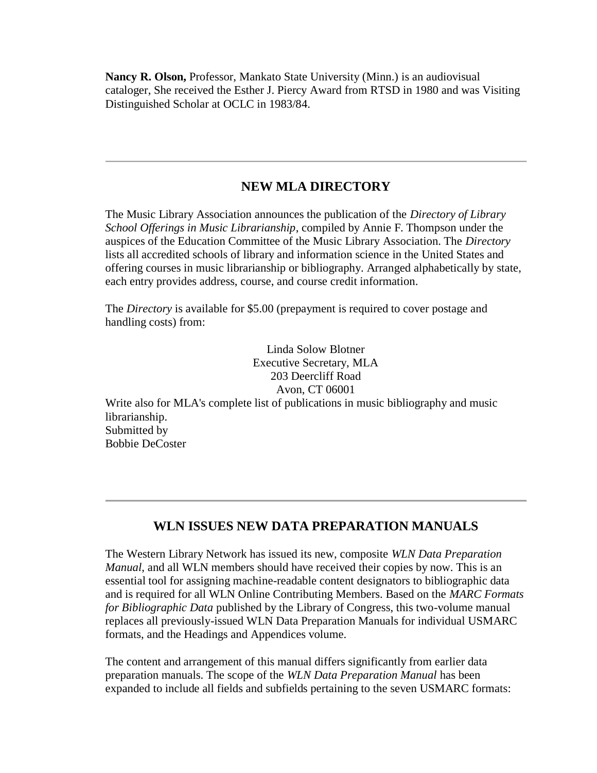**Nancy R. Olson,** Professor, Mankato State University (Minn.) is an audiovisual cataloger, She received the Esther J. Piercy Award from RTSD in 1980 and was Visiting Distinguished Scholar at OCLC in 1983/84.

### **NEW MLA DIRECTORY**

The Music Library Association announces the publication of the *Directory of Library School Offerings in Music Librarianship*, compiled by Annie F. Thompson under the auspices of the Education Committee of the Music Library Association. The *Directory* lists all accredited schools of library and information science in the United States and offering courses in music librarianship or bibliography. Arranged alphabetically by state, each entry provides address, course, and course credit information.

The *Directory* is available for \$5.00 (prepayment is required to cover postage and handling costs) from:

Linda Solow Blotner Executive Secretary, MLA 203 Deercliff Road Avon, CT 06001 Write also for MLA's complete list of publications in music bibliography and music librarianship. Submitted by Bobbie DeCoster

### **WLN ISSUES NEW DATA PREPARATION MANUALS**

The Western Library Network has issued its new, composite *WLN Data Preparation Manual*, and all WLN members should have received their copies by now. This is an essential tool for assigning machine-readable content designators to bibliographic data and is required for all WLN Online Contributing Members. Based on the *MARC Formats for Bibliographic Data* published by the Library of Congress, this two-volume manual replaces all previously-issued WLN Data Preparation Manuals for individual USMARC formats, and the Headings and Appendices volume.

The content and arrangement of this manual differs significantly from earlier data preparation manuals. The scope of the *WLN Data Preparation Manual* has been expanded to include all fields and subfields pertaining to the seven USMARC formats: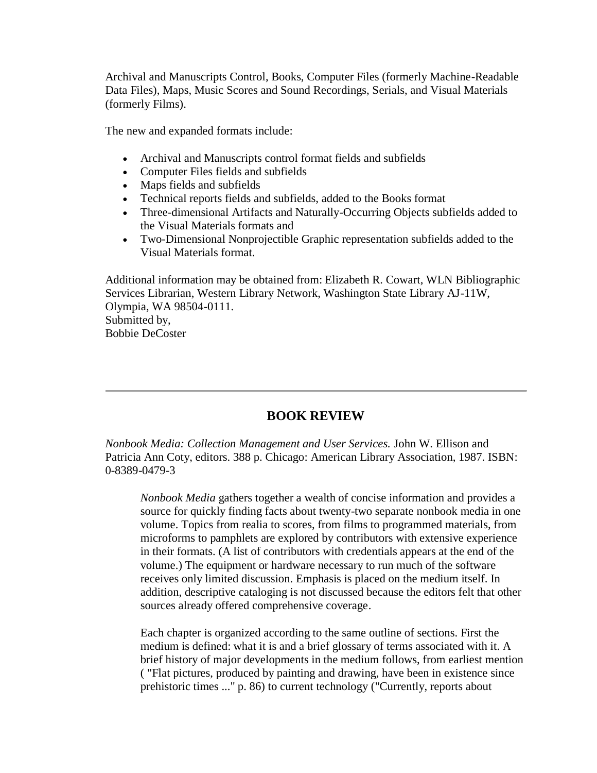Archival and Manuscripts Control, Books, Computer Files (formerly Machine-Readable Data Files), Maps, Music Scores and Sound Recordings, Serials, and Visual Materials (formerly Films).

The new and expanded formats include:

- Archival and Manuscripts control format fields and subfields
- Computer Files fields and subfields
- Maps fields and subfields
- Technical reports fields and subfields, added to the Books format
- Three-dimensional Artifacts and Naturally-Occurring Objects subfields added to the Visual Materials formats and
- Two-Dimensional Nonprojectible Graphic representation subfields added to the Visual Materials format.

Additional information may be obtained from: Elizabeth R. Cowart, WLN Bibliographic Services Librarian, Western Library Network, Washington State Library AJ-11W, Olympia, WA 98504-0111. Submitted by, Bobbie DeCoster

# **BOOK REVIEW**

*Nonbook Media: Collection Management and User Services.* John W. Ellison and Patricia Ann Coty, editors. 388 p. Chicago: American Library Association, 1987. ISBN: 0-8389-0479-3

*Nonbook Media* gathers together a wealth of concise information and provides a source for quickly finding facts about twenty-two separate nonbook media in one volume. Topics from realia to scores, from films to programmed materials, from microforms to pamphlets are explored by contributors with extensive experience in their formats. (A list of contributors with credentials appears at the end of the volume.) The equipment or hardware necessary to run much of the software receives only limited discussion. Emphasis is placed on the medium itself. In addition, descriptive cataloging is not discussed because the editors felt that other sources already offered comprehensive coverage.

Each chapter is organized according to the same outline of sections. First the medium is defined: what it is and a brief glossary of terms associated with it. A brief history of major developments in the medium follows, from earliest mention ( "Flat pictures, produced by painting and drawing, have been in existence since prehistoric times ..." p. 86) to current technology ("Currently, reports about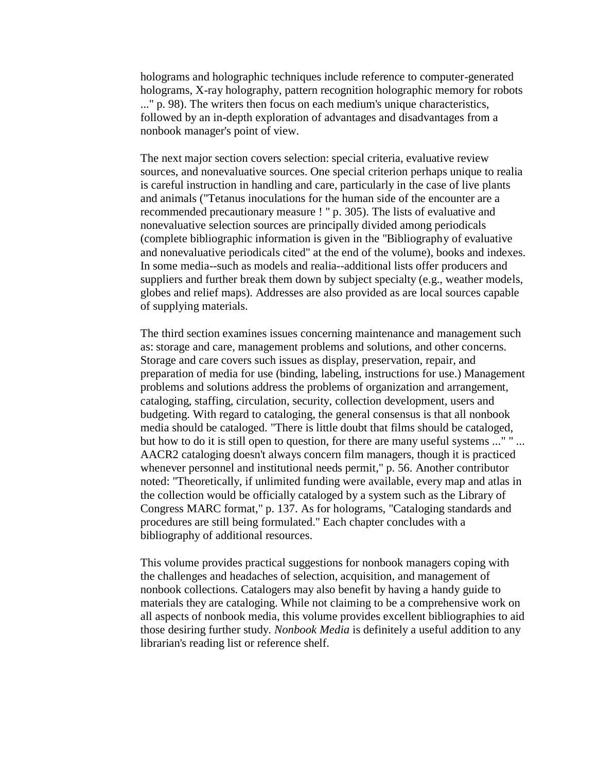holograms and holographic techniques include reference to computer-generated holograms, X-ray holography, pattern recognition holographic memory for robots ..." p. 98). The writers then focus on each medium's unique characteristics, followed by an in-depth exploration of advantages and disadvantages from a nonbook manager's point of view.

The next major section covers selection: special criteria, evaluative review sources, and nonevaluative sources. One special criterion perhaps unique to realia is careful instruction in handling and care, particularly in the case of live plants and animals ("Tetanus inoculations for the human side of the encounter are a recommended precautionary measure ! " p. 305). The lists of evaluative and nonevaluative selection sources are principally divided among periodicals (complete bibliographic information is given in the "Bibliography of evaluative and nonevaluative periodicals cited" at the end of the volume), books and indexes. In some media--such as models and realia--additional lists offer producers and suppliers and further break them down by subject specialty (e.g., weather models, globes and relief maps). Addresses are also provided as are local sources capable of supplying materials.

The third section examines issues concerning maintenance and management such as: storage and care, management problems and solutions, and other concerns. Storage and care covers such issues as display, preservation, repair, and preparation of media for use (binding, labeling, instructions for use.) Management problems and solutions address the problems of organization and arrangement, cataloging, staffing, circulation, security, collection development, users and budgeting. With regard to cataloging, the general consensus is that all nonbook media should be cataloged. "There is little doubt that films should be cataloged, but how to do it is still open to question, for there are many useful systems ..." " ... AACR2 cataloging doesn't always concern film managers, though it is practiced whenever personnel and institutional needs permit," p. 56. Another contributor noted: "Theoretically, if unlimited funding were available, every map and atlas in the collection would be officially cataloged by a system such as the Library of Congress MARC format," p. 137. As for holograms, "Cataloging standards and procedures are still being formulated." Each chapter concludes with a bibliography of additional resources.

This volume provides practical suggestions for nonbook managers coping with the challenges and headaches of selection, acquisition, and management of nonbook collections. Catalogers may also benefit by having a handy guide to materials they are cataloging. While not claiming to be a comprehensive work on all aspects of nonbook media, this volume provides excellent bibliographies to aid those desiring further study. *Nonbook Media* is definitely a useful addition to any librarian's reading list or reference shelf.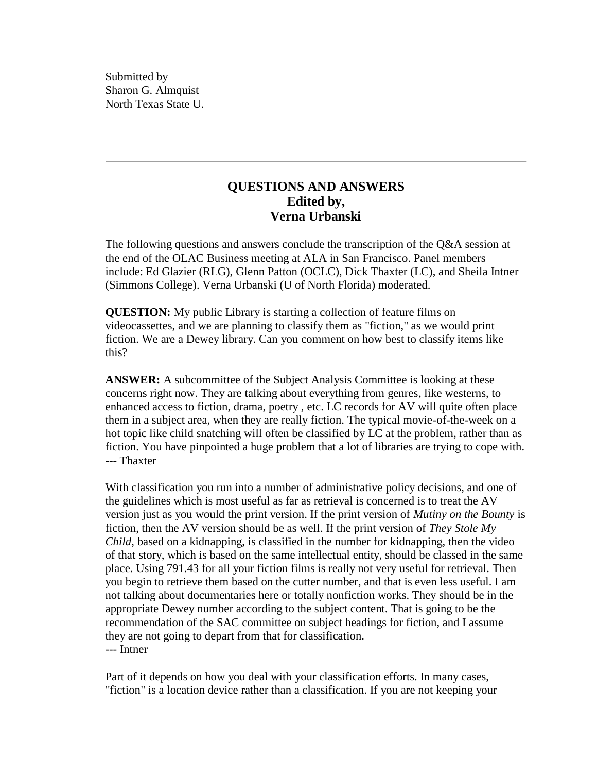Submitted by Sharon G. Almquist North Texas State U.

### **QUESTIONS AND ANSWERS Edited by, Verna Urbanski**

The following questions and answers conclude the transcription of the Q&A session at the end of the OLAC Business meeting at ALA in San Francisco. Panel members include: Ed Glazier (RLG), Glenn Patton (OCLC), Dick Thaxter (LC), and Sheila Intner (Simmons College). Verna Urbanski (U of North Florida) moderated.

**QUESTION:** My public Library is starting a collection of feature films on videocassettes, and we are planning to classify them as "fiction," as we would print fiction. We are a Dewey library. Can you comment on how best to classify items like this?

**ANSWER:** A subcommittee of the Subject Analysis Committee is looking at these concerns right now. They are talking about everything from genres, like westerns, to enhanced access to fiction, drama, poetry , etc. LC records for AV will quite often place them in a subject area, when they are really fiction. The typical movie-of-the-week on a hot topic like child snatching will often be classified by LC at the problem, rather than as fiction. You have pinpointed a huge problem that a lot of libraries are trying to cope with. --- Thaxter

With classification you run into a number of administrative policy decisions, and one of the guidelines which is most useful as far as retrieval is concerned is to treat the AV version just as you would the print version. If the print version of *Mutiny on the Bounty* is fiction, then the AV version should be as well. If the print version of *They Stole My Child*, based on a kidnapping, is classified in the number for kidnapping, then the video of that story, which is based on the same intellectual entity, should be classed in the same place. Using 791.43 for all your fiction films is really not very useful for retrieval. Then you begin to retrieve them based on the cutter number, and that is even less useful. I am not talking about documentaries here or totally nonfiction works. They should be in the appropriate Dewey number according to the subject content. That is going to be the recommendation of the SAC committee on subject headings for fiction, and I assume they are not going to depart from that for classification. --- Intner

Part of it depends on how you deal with your classification efforts. In many cases, "fiction" is a location device rather than a classification. If you are not keeping your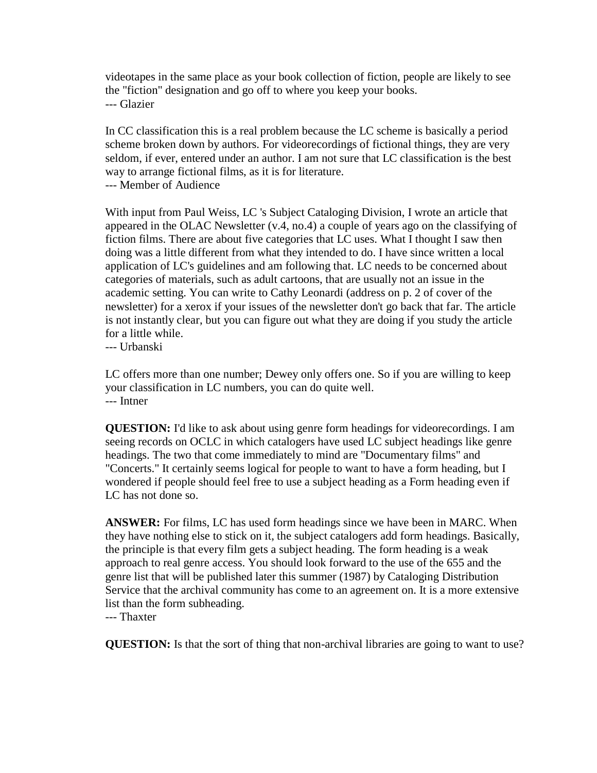videotapes in the same place as your book collection of fiction, people are likely to see the "fiction" designation and go off to where you keep your books. --- Glazier

In CC classification this is a real problem because the LC scheme is basically a period scheme broken down by authors. For videorecordings of fictional things, they are very seldom, if ever, entered under an author. I am not sure that LC classification is the best way to arrange fictional films, as it is for literature.

--- Member of Audience

With input from Paul Weiss, LC 's Subject Cataloging Division, I wrote an article that appeared in the [OLAC Newsletter \(v.4, no.4\)](http://ublib.buffalo.edu/libraries/units/cts/olac/newsletters/dec84.html#schedules) a couple of years ago on the classifying of fiction films. There are about five categories that LC uses. What I thought I saw then doing was a little different from what they intended to do. I have since written a local application of LC's guidelines and am following that. LC needs to be concerned about categories of materials, such as adult cartoons, that are usually not an issue in the academic setting. You can write to Cathy Leonardi (address on [p. 2 of cover](http://ublib.buffalo.edu/libraries/units/cts/olac/newsletters/mar88.html#masthead) of the newsletter) for a xerox if your issues of the newsletter don't go back that far. The article is not instantly clear, but you can figure out what they are doing if you study the article for a little while.

--- Urbanski

LC offers more than one number; Dewey only offers one. So if you are willing to keep your classification in LC numbers, you can do quite well. --- Intner

**QUESTION:** I'd like to ask about using genre form headings for videorecordings. I am seeing records on OCLC in which catalogers have used LC subject headings like genre headings. The two that come immediately to mind are "Documentary films" and "Concerts." It certainly seems logical for people to want to have a form heading, but I wondered if people should feel free to use a subject heading as a Form heading even if LC has not done so.

**ANSWER:** For films, LC has used form headings since we have been in MARC. When they have nothing else to stick on it, the subject catalogers add form headings. Basically, the principle is that every film gets a subject heading. The form heading is a weak approach to real genre access. You should look forward to the use of the 655 and the genre list that will be published later this summer (1987) by Cataloging Distribution Service that the archival community has come to an agreement on. It is a more extensive list than the form subheading.

--- Thaxter

**QUESTION:** Is that the sort of thing that non-archival libraries are going to want to use?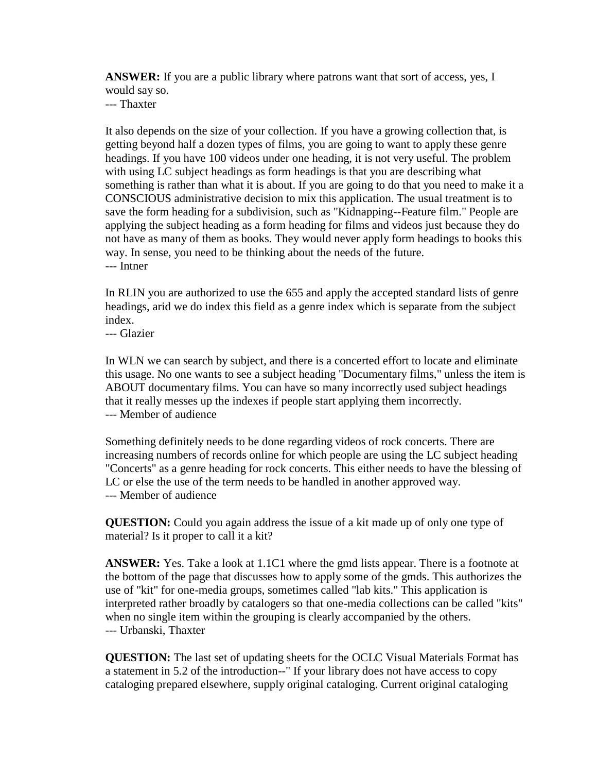**ANSWER:** If you are a public library where patrons want that sort of access, yes, I would say so.

--- Thaxter

It also depends on the size of your collection. If you have a growing collection that, is getting beyond half a dozen types of films, you are going to want to apply these genre headings. If you have 100 videos under one heading, it is not very useful. The problem with using LC subject headings as form headings is that you are describing what something is rather than what it is about. If you are going to do that you need to make it a CONSCIOUS administrative decision to mix this application. The usual treatment is to save the form heading for a subdivision, such as "Kidnapping--Feature film." People are applying the subject heading as a form heading for films and videos just because they do not have as many of them as books. They would never apply form headings to books this way. In sense, you need to be thinking about the needs of the future. --- Intner

In RLIN you are authorized to use the 655 and apply the accepted standard lists of genre headings, arid we do index this field as a genre index which is separate from the subject index.

--- Glazier

In WLN we can search by subject, and there is a concerted effort to locate and eliminate this usage. No one wants to see a subject heading "Documentary films," unless the item is ABOUT documentary films. You can have so many incorrectly used subject headings that it really messes up the indexes if people start applying them incorrectly. --- Member of audience

Something definitely needs to be done regarding videos of rock concerts. There are increasing numbers of records online for which people are using the LC subject heading "Concerts" as a genre heading for rock concerts. This either needs to have the blessing of LC or else the use of the term needs to be handled in another approved way. --- Member of audience

**QUESTION:** Could you again address the issue of a kit made up of only one type of material? Is it proper to call it a kit?

**ANSWER:** Yes. Take a look at 1.1C1 where the gmd lists appear. There is a footnote at the bottom of the page that discusses how to apply some of the gmds. This authorizes the use of "kit" for one-media groups, sometimes called "lab kits." This application is interpreted rather broadly by catalogers so that one-media collections can be called "kits" when no single item within the grouping is clearly accompanied by the others. --- Urbanski, Thaxter

**QUESTION:** The last set of updating sheets for the OCLC Visual Materials Format has a statement in 5.2 of the introduction--" If your library does not have access to copy cataloging prepared elsewhere, supply original cataloging. Current original cataloging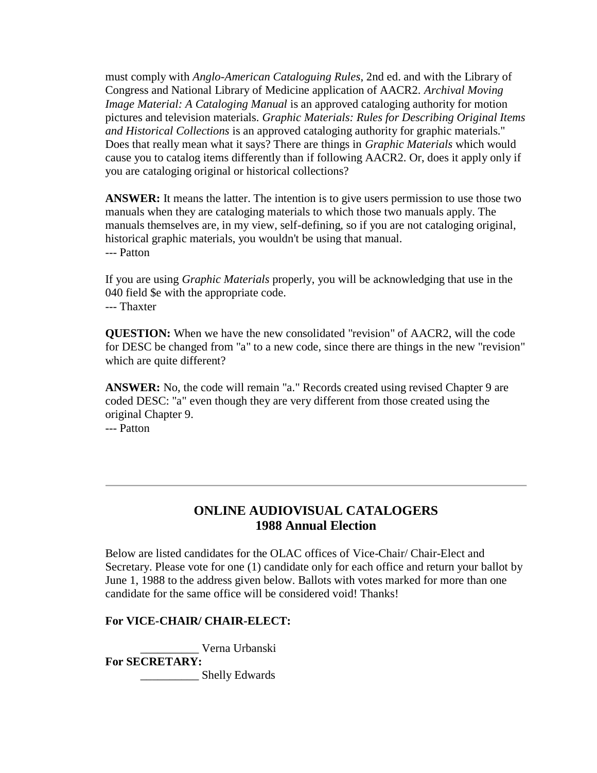must comply with *Anglo-American Cataloguing Rules*, 2nd ed. and with the Library of Congress and National Library of Medicine application of AACR2. *Archival Moving Image Material: A Cataloging Manual* is an approved cataloging authority for motion pictures and television materials. *Graphic Materials: Rules for Describing Original Items and Historical Collections* is an approved cataloging authority for graphic materials." Does that really mean what it says? There are things in *Graphic Materials* which would cause you to catalog items differently than if following AACR2. Or, does it apply only if you are cataloging original or historical collections?

**ANSWER:** It means the latter. The intention is to give users permission to use those two manuals when they are cataloging materials to which those two manuals apply. The manuals themselves are, in my view, self-defining, so if you are not cataloging original, historical graphic materials, you wouldn't be using that manual. --- Patton

If you are using *Graphic Materials* properly, you will be acknowledging that use in the 040 field \$e with the appropriate code. --- Thaxter

**QUESTION:** When we have the new consolidated "revision" of AACR2, will the code for DESC be changed from "a" to a new code, since there are things in the new "revision" which are quite different?

**ANSWER:** No, the code will remain "a." Records created using revised Chapter 9 are coded DESC: "a" even though they are very different from those created using the original Chapter 9. --- Patton

### **ONLINE AUDIOVISUAL CATALOGERS 1988 Annual Election**

Below are listed candidates for the OLAC offices of Vice-Chair/ Chair-Elect and Secretary. Please vote for one (1) candidate only for each office and return your ballot by June 1, 1988 to the address given below. Ballots with votes marked for more than one candidate for the same office will be considered void! Thanks!

#### **For VICE-CHAIR/ CHAIR-ELECT:**

\_\_\_\_\_\_\_\_\_\_ Verna Urbanski

**For SECRETARY:**

\_\_\_\_\_\_\_\_\_\_ Shelly Edwards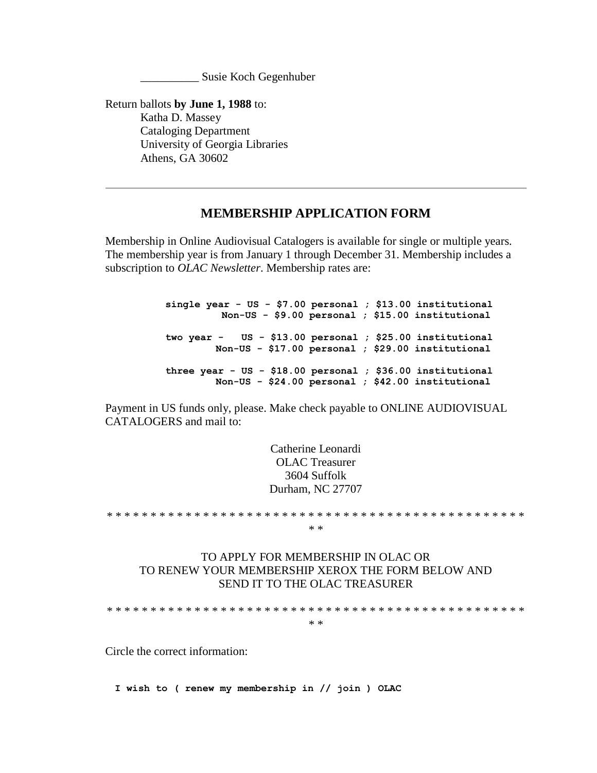\_\_\_\_\_\_\_\_\_\_ Susie Koch Gegenhuber

Return ballots **by June 1, 1988** to: Katha D. Massey Cataloging Department University of Georgia Libraries Athens, GA 30602

#### **MEMBERSHIP APPLICATION FORM**

Membership in Online Audiovisual Catalogers is available for single or multiple years. The membership year is from January 1 through December 31. Membership includes a subscription to *OLAC Newsletter*. Membership rates are:

> **single year - US - \$7.00 personal ; \$13.00 institutional Non-US - \$9.00 personal ; \$15.00 institutional two year - US - \$13.00 personal ; \$25.00 institutional Non-US - \$17.00 personal ; \$29.00 institutional three year - US - \$18.00 personal ; \$36.00 institutional Non-US - \$24.00 personal ; \$42.00 institutional**

Payment in US funds only, please. Make check payable to ONLINE AUDIOVISUAL CATALOGERS and mail to:

> Catherine Leonardi OLAC Treasurer 3604 Suffolk Durham, NC 27707

\* \* \* \* \* \* \* \* \* \* \* \* \* \* \* \* \* \* \* \* \* \* \* \* \* \* \* \* \* \* \* \* \* \* \* \* \* \* \* \* \* \* \* \* \* \* \* \* \* \*

#### TO APPLY FOR MEMBERSHIP IN OLAC OR TO RENEW YOUR MEMBERSHIP XEROX THE FORM BELOW AND SEND IT TO THE OLAC TREASURER

\* \* \* \* \* \* \* \* \* \* \* \* \* \* \* \* \* \* \* \* \* \* \* \* \* \* \* \* \* \* \* \* \* \* \* \* \* \* \* \* \* \* \* \* \* \* \* \*

\* \*

Circle the correct information:

**I wish to ( renew my membership in // join ) OLAC**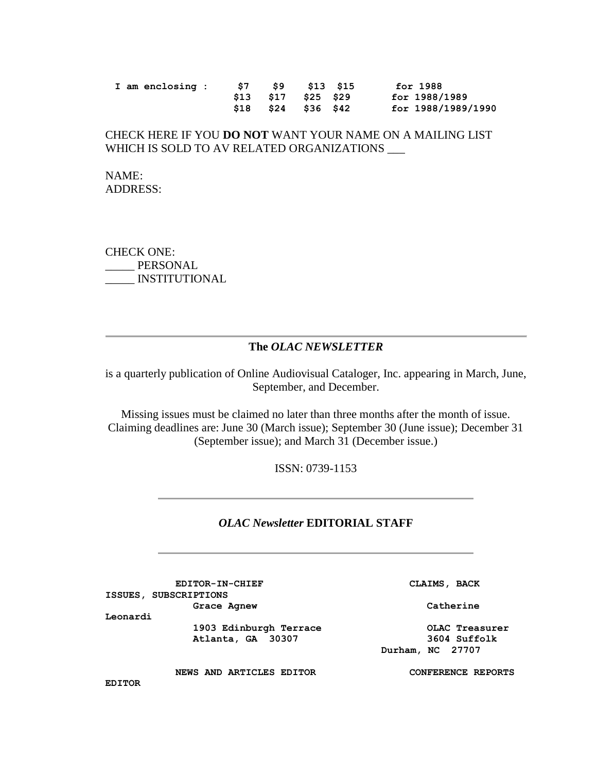|  | I am enclosing : | S7 57 | \$9 \$13 \$15       | for 1988           |
|--|------------------|-------|---------------------|--------------------|
|  |                  |       | \$13 \$17 \$25 \$29 | for 1988/1989      |
|  |                  |       | \$18 \$24 \$36 \$42 | for 1988/1989/1990 |

#### CHECK HERE IF YOU **DO NOT** WANT YOUR NAME ON A MAILING LIST WHICH IS SOLD TO AV RELATED ORGANIZATIONS

NAME: ADDRESS:

CHECK ONE: \_\_\_\_\_ PERSONAL \_\_\_\_\_ INSTITUTIONAL

#### **The** *OLAC NEWSLETTER*

is a quarterly publication of Online Audiovisual Cataloger, Inc. appearing in March, June, September, and December.

Missing issues must be claimed no later than three months after the month of issue. Claiming deadlines are: June 30 (March issue); September 30 (June issue); December 31 (September issue); and March 31 (December issue.)

ISSN: 0739-1153

#### *OLAC Newsletter* **EDITORIAL STAFF**

**EDITOR-IN-CHIEF CLAIMS, BACK ISSUES, SUBSCRIPTIONS** Grace Agnew **Catherine** 

 **Durham, NC 27707**

**Leonardi**

 **1903 Edinburgh Terrace OLAC Treasurer Atlanta, GA 30307 3604 Suffolk**

 **NEWS AND ARTICLES EDITOR CONFERENCE REPORTS** 

**EDITOR**